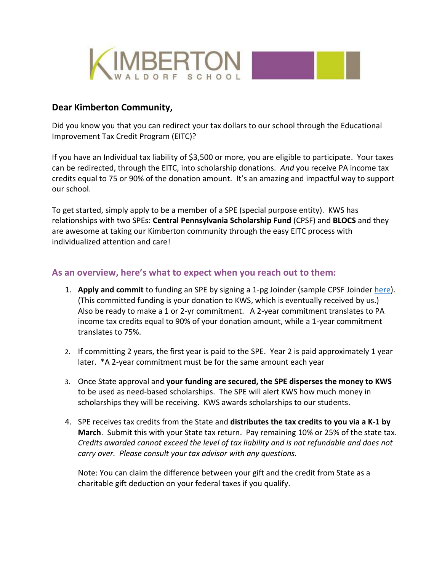

## **Dear Kimberton Community,**

Did you know you that you can redirect your tax dollars to our school through the Educational Improvement Tax Credit Program (EITC)?

If you have an Individual tax liability of \$3,500 or more, you are eligible to participate. Your taxes can be redirected, through the EITC, into scholarship donations. *And* you receive PA income tax credits equal to 75 or 90% of the donation amount. It's an amazing and impactful way to support our school.

To get started, simply apply to be a member of a SPE (special purpose entity). KWS has relationships with two SPEs: **Central Pennsylvania Scholarship Fund** (CPSF) and **BLOCS** and they are awesome at taking our Kimberton community through the easy EITC process with individualized attention and care!

## **As an overview, here's what to expect when you reach out to them:**

- 1. **Apply and commit** to funding an SPE by signing a 1-pg Joinder (sample CPSF Joinde[r here\)](https://www.kimberton.org/wp-content/uploads/2021/12/Bulldog-Pride-Fall-2021.pdf). (This committed funding is your donation to KWS, which is eventually received by us.) Also be ready to make a 1 or 2-yr commitment. A 2-year commitment translates to PA income tax credits equal to 90% of your donation amount, while a 1-year commitment translates to 75%.
- 2. If committing 2 years, the first year is paid to the SPE. Year 2 is paid approximately 1 year later. \*A 2-year commitment must be for the same amount each year
- 3. Once State approval and **your funding are secured, the SPE disperses the money to KWS**  to be used as need-based scholarships. The SPE will alert KWS how much money in scholarships they will be receiving. KWS awards scholarships to our students.
- 4. SPE receives tax credits from the State and **distributes the tax credits to you via a K-1 by March**. Submit this with your State tax return. Pay remaining 10% or 25% of the state tax. *Credits awarded cannot exceed the level of tax liability and is not refundable and does not carry over. Please consult your tax advisor with any questions.*

Note: You can claim the difference between your gift and the credit from State as a charitable gift deduction on your federal taxes if you qualify.